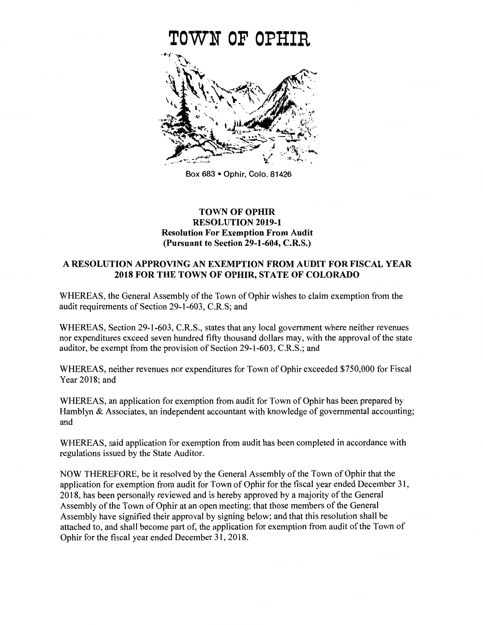

Box 683 • Ophir, Colo. 81426

## **TOWN OF OPHIR** RESOLUTION 2019-1 Resolution For Exemption From Audit (Pursuant to Section 29-1-604, C.R.S.)

## A RESOLUTION APPROVING AN EXEMPTION FROM AUDIT FOR FISCAL YEAR 2018 FOR THE TOWN OF OPHIR, STATE OF COLORADO

WHEREAS, the General Assembly of the Town of Ophir wishes to claim exemption from the audit requirements of Section 29-1-603, C.R.S; and

WHEREAS, Section 29-1-603, C.R.S., states that any local government where neither revenues nor expenditures exceed seven hundred fifty thousand dollars may, with the approval of the state auditor, be exempt from the provision of Section 29-1-603, C.R.S.; and

WHEREAS, neither revenues nor expenditures for Town of Ophir exceeded \$750,000 for Fiscal Year 2018; and

WHEREAS, an application for exemption from audit for Town of Ophir has been prepared by Hamblyn & Associates, an independent accountant with knowledge of governmental accounting; and

WHEREAS, said application for exemption from audit has been completed in accordance with regulations issued by the State Auditor.

NOW THEREFORE, be it resolved by the General Assembly of the Town of Ophir that the application for exemption from audit for Town of Ophir for the fiscal year ended December 31, 2018, has been personally reviewed and is hereby approved by a majority of the General Assembly of the Town of Ophir at an open meeting; that those members of the General Assembly have signified their approval by signing below; and that this resolution shall be attached to, and shall become part of, the application for exemption from audit of the Town of Ophir for the fiscal year ended December 31, 2018.